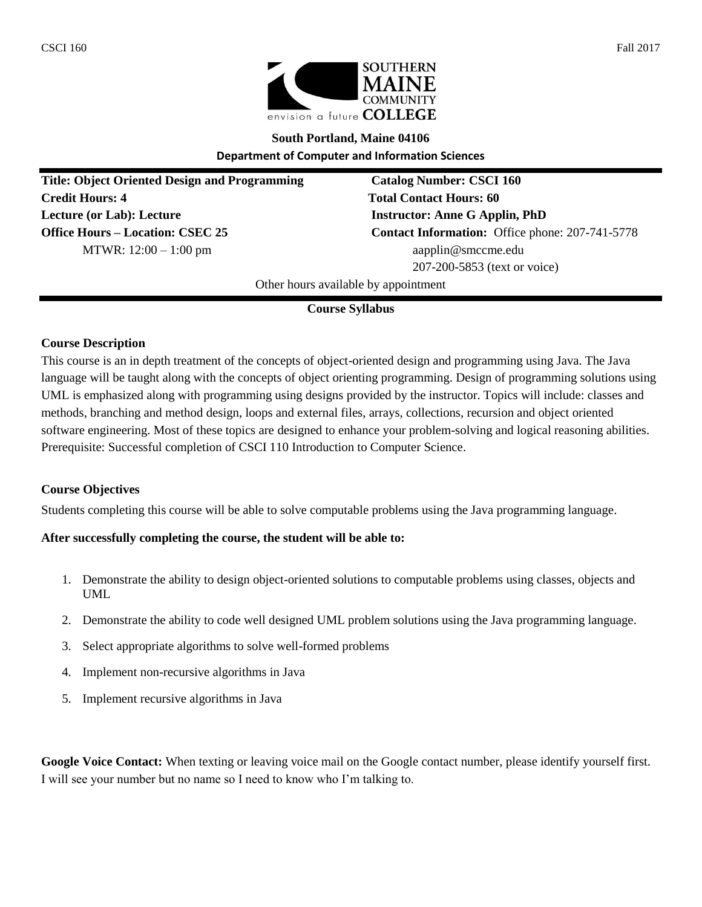



# **South Portland, Maine 04106**

**Department of Computer and Information Sciences**

**Title: Object Oriented Design and Programming Catalog Number: CSCI 160 Credit Hours: 4 Total Contact Hours: 60 Lecture (or Lab): Lecture Instructor: Anne G Applin, PhD MTWR:**  $12:00 - 1:00$  pm aapplin@smccme.edu

**Office Hours – Location: CSEC 25 Contact Information:** Office phone: 207-741-5778 207-200-5853 (text or voice)

Other hours available by appointment

# **Course Syllabus**

### **Course Description**

This course is an in depth treatment of the concepts of object-oriented design and programming using Java. The Java language will be taught along with the concepts of object orienting programming. Design of programming solutions using UML is emphasized along with programming using designs provided by the instructor. Topics will include: classes and methods, branching and method design, loops and external files, arrays, collections, recursion and object oriented software engineering. Most of these topics are designed to enhance your problem-solving and logical reasoning abilities. Prerequisite: Successful completion of CSCI 110 Introduction to Computer Science.

### **Course Objectives**

Students completing this course will be able to solve computable problems using the Java programming language.

### **After successfully completing the course, the student will be able to:**

- 1. Demonstrate the ability to design object-oriented solutions to computable problems using classes, objects and UML
- 2. Demonstrate the ability to code well designed UML problem solutions using the Java programming language.
- 3. Select appropriate algorithms to solve well-formed problems
- 4. Implement non-recursive algorithms in Java
- 5. Implement recursive algorithms in Java

Google Voice Contact: When texting or leaving voice mail on the Google contact number, please identify yourself first. I will see your number but no name so I need to know who I'm talking to.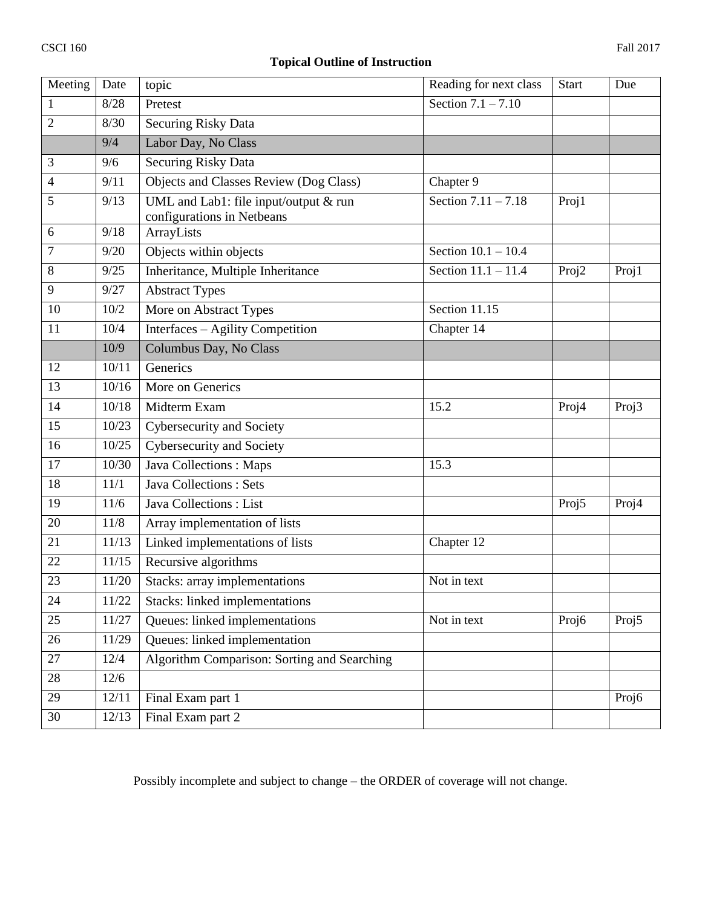# **Topical Outline of Instruction**

| Meeting      | Date  | topic                                                               | Reading for next class | <b>Start</b> | Due   |
|--------------|-------|---------------------------------------------------------------------|------------------------|--------------|-------|
| $\mathbf{1}$ | 8/28  | Pretest                                                             | Section $7.1 - 7.10$   |              |       |
| 2            | 8/30  | <b>Securing Risky Data</b>                                          |                        |              |       |
|              | 9/4   | Labor Day, No Class                                                 |                        |              |       |
| 3            | 9/6   | Securing Risky Data                                                 |                        |              |       |
| 4            | 9/11  | Chapter 9<br>Objects and Classes Review (Dog Class)                 |                        |              |       |
| 5            | 9/13  | UML and Lab1: file input/output & run<br>configurations in Netbeans | Section $7.11 - 7.18$  |              |       |
| 6            | 9/18  | ArrayLists                                                          |                        |              |       |
| 7            | 9/20  | Objects within objects<br>Section $10.1 - 10.4$                     |                        |              |       |
| 8            | 9/25  | Section 11.1 - 11.4<br>Inheritance, Multiple Inheritance            |                        | Proj2        | Proj1 |
| 9            | 9/27  | <b>Abstract Types</b>                                               |                        |              |       |
| 10           | 10/2  | Section 11.15<br>More on Abstract Types                             |                        |              |       |
| 11           | 10/4  | Interfaces - Agility Competition                                    | Chapter 14             |              |       |
|              | 10/9  | Columbus Day, No Class                                              |                        |              |       |
| 12           | 10/11 | Generics                                                            |                        |              |       |
| 13           | 10/16 | More on Generics                                                    |                        |              |       |
| 14           | 10/18 | 15.2<br>Midterm Exam                                                |                        | Proj4        | Proj3 |
| 15           | 10/23 | Cybersecurity and Society                                           |                        |              |       |
| 16           | 10/25 | Cybersecurity and Society                                           |                        |              |       |
| 17           | 10/30 | Java Collections: Maps                                              | 15.3                   |              |       |
| 18           | 11/1  | <b>Java Collections: Sets</b>                                       |                        |              |       |
| 19           | 11/6  | Java Collections : List                                             |                        |              | Proj4 |
| 20           | 11/8  | Array implementation of lists                                       |                        |              |       |
| 21           | 11/13 | Linked implementations of lists<br>Chapter 12                       |                        |              |       |
| 22           | 11/15 | Recursive algorithms                                                |                        |              |       |
| 23           | 11/20 | Stacks: array implementations<br>Not in text                        |                        |              |       |
| 24           | 11/22 | <b>Stacks:</b> linked implementations                               |                        |              |       |
| 25           | 11/27 | Queues: linked implementations                                      | Not in text            | Proj6        | Proj5 |
| 26           | 11/29 | Queues: linked implementation                                       |                        |              |       |
| 27           | 12/4  | Algorithm Comparison: Sorting and Searching                         |                        |              |       |
| 28           | 12/6  |                                                                     |                        |              |       |
| 29           | 12/11 | Final Exam part 1                                                   |                        |              | Proj6 |
| 30           | 12/13 | Final Exam part 2                                                   |                        |              |       |

Possibly incomplete and subject to change – the ORDER of coverage will not change.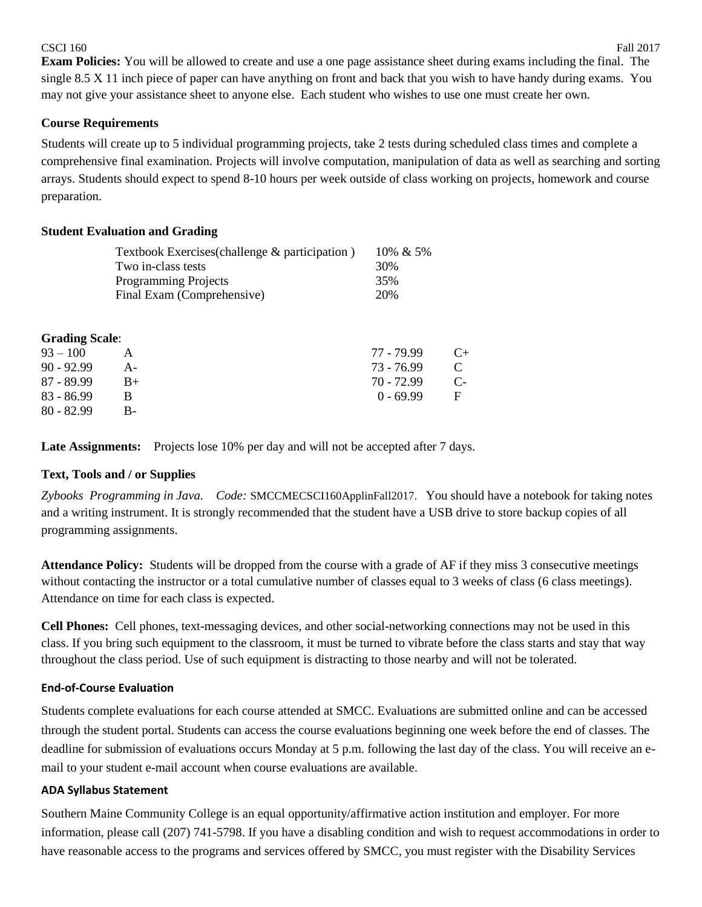#### $\text{CSCI } 160$  Fall 2017

# **Course Requirements**

Students will create up to 5 individual programming projects, take 2 tests during scheduled class times and complete a comprehensive final examination. Projects will involve computation, manipulation of data as well as searching and sorting arrays. Students should expect to spend 8-10 hours per week outside of class working on projects, homework and course preparation.

# **Student Evaluation and Grading**

|                       | Textbook Exercises (challenge & participation) | 10% & 5%     |      |
|-----------------------|------------------------------------------------|--------------|------|
|                       | Two in-class tests                             | 30%          |      |
|                       | <b>Programming Projects</b>                    | 35%          |      |
|                       | Final Exam (Comprehensive)                     | 20%          |      |
|                       |                                                |              |      |
| <b>Grading Scale:</b> |                                                |              |      |
| $93 - 100$            | A                                              | 77 - 79.99   | $C+$ |
| $90 - 92.99$          | $A -$                                          | $73 - 76.99$ | C    |
| $87 - 89.99$          | $B+$                                           | $70 - 72.99$ | $C-$ |
| $83 - 86.99$          | В                                              | $0 - 69.99$  | F    |
| $80 - 82.99$          | B-                                             |              |      |

Late Assignments: Projects lose 10% per day and will not be accepted after 7 days.

# **Text, Tools and / or Supplies**

*Zybooks Programming in Java. Code:* SMCCMECSCI160ApplinFall2017. You should have a notebook for taking notes and a writing instrument. It is strongly recommended that the student have a USB drive to store backup copies of all programming assignments.

**Attendance Policy:** Students will be dropped from the course with a grade of AF if they miss 3 consecutive meetings without contacting the instructor or a total cumulative number of classes equal to 3 weeks of class (6 class meetings). Attendance on time for each class is expected.

**Cell Phones:** Cell phones, text-messaging devices, and other social-networking connections may not be used in this class. If you bring such equipment to the classroom, it must be turned to vibrate before the class starts and stay that way throughout the class period. Use of such equipment is distracting to those nearby and will not be tolerated.

### **End-of-Course Evaluation**

Students complete evaluations for each course attended at SMCC. Evaluations are submitted online and can be accessed through the student portal. Students can access the course evaluations beginning one week before the end of classes. The deadline for submission of evaluations occurs Monday at 5 p.m. following the last day of the class. You will receive an email to your student e-mail account when course evaluations are available.

### **ADA Syllabus Statement**

Southern Maine Community College is an equal opportunity/affirmative action institution and employer. For more information, please call (207) 741-5798. If you have a disabling condition and wish to request accommodations in order to have reasonable access to the programs and services offered by SMCC, you must register with the Disability Services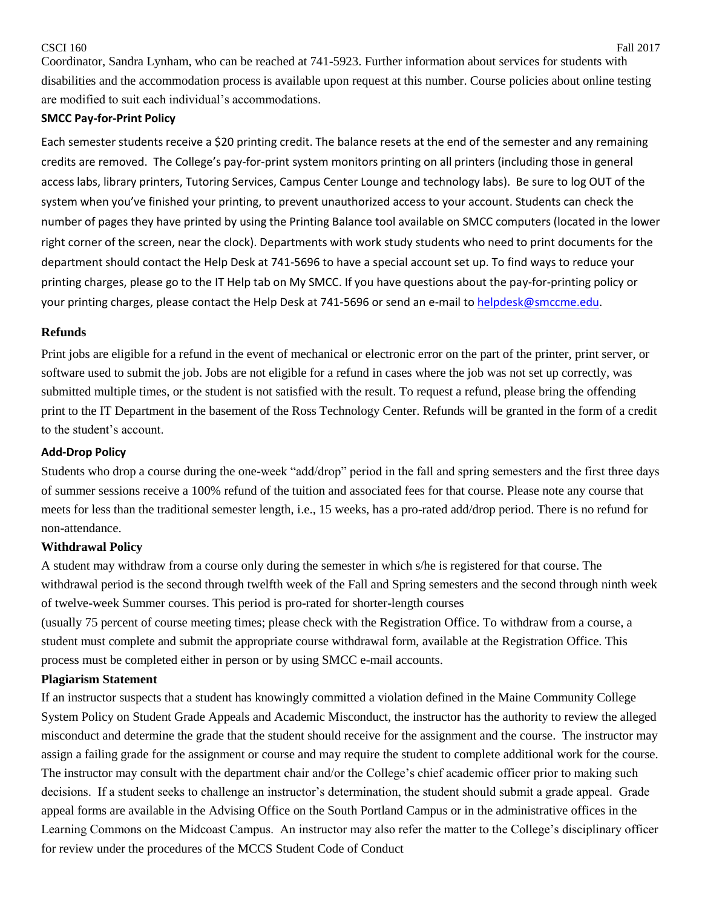#### $\text{CSCI } 160$  Fall 2017

Coordinator, Sandra Lynham, who can be reached at 741-5923. Further information about services for students with disabilities and the accommodation process is available upon request at this number. Course policies about online testing are modified to suit each individual's accommodations.

#### **SMCC Pay-for-Print Policy**

Each semester students receive a \$20 printing credit. The balance resets at the end of the semester and any remaining credits are removed. The College's pay-for-print system monitors printing on all printers (including those in general access labs, library printers, Tutoring Services, Campus Center Lounge and technology labs). Be sure to log OUT of the system when you've finished your printing, to prevent unauthorized access to your account. Students can check the number of pages they have printed by using the Printing Balance tool available on SMCC computers (located in the lower right corner of the screen, near the clock). Departments with work study students who need to print documents for the department should contact the Help Desk at 741-5696 to have a special account set up. To find ways to reduce your printing charges, please go to the IT Help tab on My SMCC. If you have questions about the pay-for-printing policy or your printing charges, please contact the Help Desk at 741-5696 or send an e-mail to [helpdesk@smccme.edu.](mailto:helpdesk@smccme.edu)

#### **Refunds**

Print jobs are eligible for a refund in the event of mechanical or electronic error on the part of the printer, print server, or software used to submit the job. Jobs are not eligible for a refund in cases where the job was not set up correctly, was submitted multiple times, or the student is not satisfied with the result. To request a refund, please bring the offending print to the IT Department in the basement of the Ross Technology Center. Refunds will be granted in the form of a credit to the student's account.

#### **Add-Drop Policy**

Students who drop a course during the one-week "add/drop" period in the fall and spring semesters and the first three days of summer sessions receive a 100% refund of the tuition and associated fees for that course. Please note any course that meets for less than the traditional semester length, i.e., 15 weeks, has a pro-rated add/drop period. There is no refund for non-attendance.

### **Withdrawal Policy**

A student may withdraw from a course only during the semester in which s/he is registered for that course. The withdrawal period is the second through twelfth week of the Fall and Spring semesters and the second through ninth week of twelve-week Summer courses. This period is pro-rated for shorter-length courses

(usually 75 percent of course meeting times; please check with the Registration Office. To withdraw from a course, a student must complete and submit the appropriate course withdrawal form, available at the Registration Office. This process must be completed either in person or by using SMCC e-mail accounts.

### **Plagiarism Statement**

If an instructor suspects that a student has knowingly committed a violation defined in the Maine Community College System Policy on Student Grade Appeals and Academic Misconduct, the instructor has the authority to review the alleged misconduct and determine the grade that the student should receive for the assignment and the course. The instructor may assign a failing grade for the assignment or course and may require the student to complete additional work for the course. The instructor may consult with the department chair and/or the College's chief academic officer prior to making such decisions. If a student seeks to challenge an instructor's determination, the student should submit a grade appeal. Grade appeal forms are available in the Advising Office on the South Portland Campus or in the administrative offices in the Learning Commons on the Midcoast Campus. An instructor may also refer the matter to the College's disciplinary officer for review under the procedures of the MCCS Student Code of Conduct